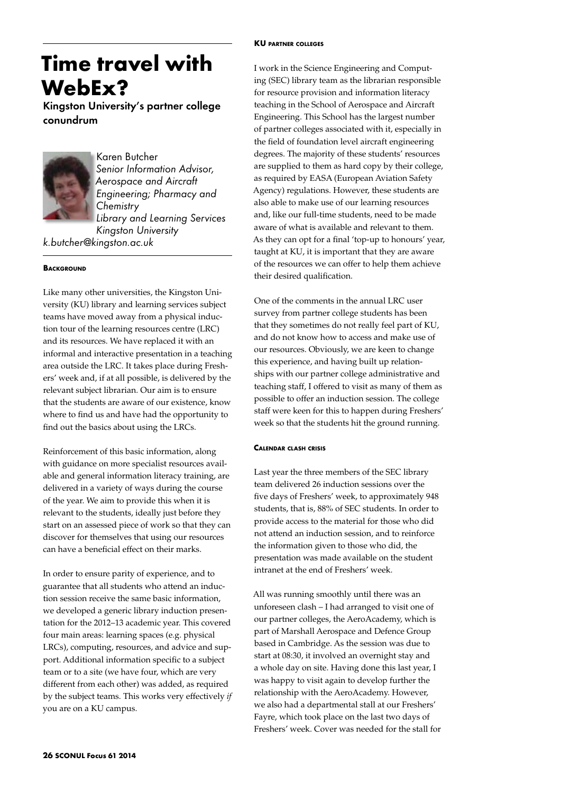# **KU partner colleges**

# **Time travel with WebEx?**

Kingston University's partner college conundrum



Karen Butcher *Senior Information Advisor, Aerospace and Aircraft Engineering; Pharmacy and Chemistry Library and Learning Services Kingston University*

*k.butcher@kingston.ac.uk*

# **BACKGROUND**

Like many other universities, the Kingston University (KU) library and learning services subject teams have moved away from a physical induction tour of the learning resources centre (LRC) and its resources. We have replaced it with an informal and interactive presentation in a teaching area outside the LRC. It takes place during Freshers' week and, if at all possible, is delivered by the relevant subject librarian. Our aim is to ensure that the students are aware of our existence, know where to find us and have had the opportunity to find out the basics about using the LRCs.

Reinforcement of this basic information, along with guidance on more specialist resources available and general information literacy training, are delivered in a variety of ways during the course of the year. We aim to provide this when it is relevant to the students, ideally just before they start on an assessed piece of work so that they can discover for themselves that using our resources can have a beneficial effect on their marks.

In order to ensure parity of experience, and to guarantee that all students who attend an induction session receive the same basic information, we developed a generic library induction presentation for the 2012–13 academic year. This covered four main areas: learning spaces (e.g. physical LRCs), computing, resources, and advice and support. Additional information specific to a subject team or to a site (we have four, which are very different from each other) was added, as required by the subject teams. This works very effectively *if* you are on a KU campus.

I work in the Science Engineering and Computing (SEC) library team as the librarian responsible for resource provision and information literacy teaching in the School of Aerospace and Aircraft Engineering. This School has the largest number of partner colleges associated with it, especially in the field of foundation level aircraft engineering degrees. The majority of these students' resources are supplied to them as hard copy by their college, as required by EASA (European Aviation Safety Agency) regulations. However, these students are also able to make use of our learning resources and, like our full-time students, need to be made aware of what is available and relevant to them. As they can opt for a final 'top-up to honours' year, taught at KU, it is important that they are aware of the resources we can offer to help them achieve their desired qualification.

One of the comments in the annual LRC user survey from partner college students has been that they sometimes do not really feel part of KU, and do not know how to access and make use of our resources. Obviously, we are keen to change this experience, and having built up relationships with our partner college administrative and teaching staff, I offered to visit as many of them as possible to offer an induction session. The college staff were keen for this to happen during Freshers' week so that the students hit the ground running.

# **Calendar clash crisis**

Last year the three members of the SEC library team delivered 26 induction sessions over the five days of Freshers' week, to approximately 948 students, that is, 88% of SEC students. In order to provide access to the material for those who did not attend an induction session, and to reinforce the information given to those who did, the presentation was made available on the student intranet at the end of Freshers' week.

All was running smoothly until there was an unforeseen clash – I had arranged to visit one of our partner colleges, the AeroAcademy, which is part of Marshall Aerospace and Defence Group based in Cambridge. As the session was due to start at 08:30, it involved an overnight stay and a whole day on site. Having done this last year, I was happy to visit again to develop further the relationship with the AeroAcademy. However, we also had a departmental stall at our Freshers' Fayre, which took place on the last two days of Freshers' week. Cover was needed for the stall for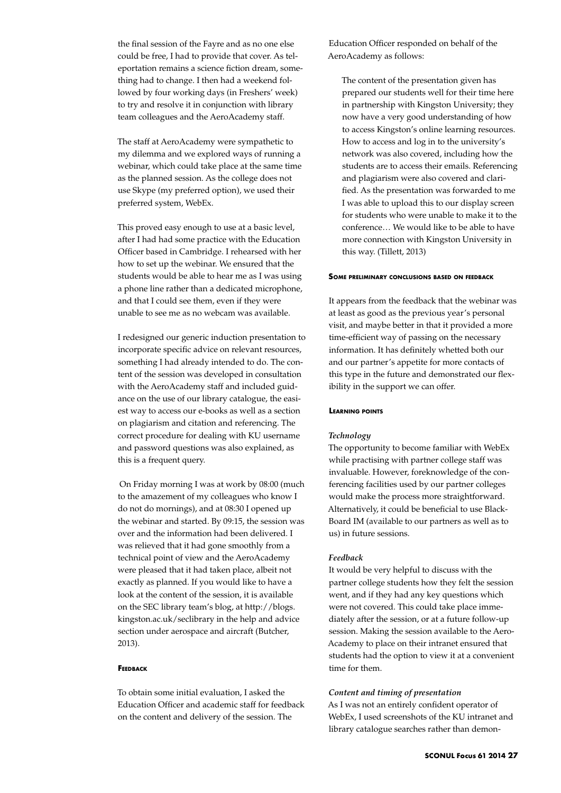the final session of the Fayre and as no one else could be free, I had to provide that cover. As teleportation remains a science fiction dream, something had to change. I then had a weekend followed by four working days (in Freshers' week) to try and resolve it in conjunction with library team colleagues and the AeroAcademy staff.

The staff at AeroAcademy were sympathetic to my dilemma and we explored ways of running a webinar, which could take place at the same time as the planned session. As the college does not use Skype (my preferred option), we used their preferred system, WebEx.

This proved easy enough to use at a basic level, after I had had some practice with the Education Officer based in Cambridge. I rehearsed with her how to set up the webinar. We ensured that the students would be able to hear me as I was using a phone line rather than a dedicated microphone, and that I could see them, even if they were unable to see me as no webcam was available.

I redesigned our generic induction presentation to incorporate specific advice on relevant resources, something I had already intended to do. The content of the session was developed in consultation with the AeroAcademy staff and included guidance on the use of our library catalogue, the easiest way to access our e-books as well as a section on plagiarism and citation and referencing. The correct procedure for dealing with KU username and password questions was also explained, as this is a frequent query.

 On Friday morning I was at work by 08:00 (much to the amazement of my colleagues who know I do not do mornings), and at 08:30 I opened up the webinar and started. By 09:15, the session was over and the information had been delivered. I was relieved that it had gone smoothly from a technical point of view and the AeroAcademy were pleased that it had taken place, albeit not exactly as planned. If you would like to have a look at the content of the session, it is available on the SEC library team's blog, at http://blogs. kingston.ac.uk/seclibrary in the help and advice section under aerospace and aircraft (Butcher, 2013).

#### **Feedback**

To obtain some initial evaluation, I asked the Education Officer and academic staff for feedback on the content and delivery of the session. The

Education Officer responded on behalf of the AeroAcademy as follows:

The content of the presentation given has prepared our students well for their time here in partnership with Kingston University; they now have a very good understanding of how to access Kingston's online learning resources. How to access and log in to the university's network was also covered, including how the students are to access their emails. Referencing and plagiarism were also covered and clarified. As the presentation was forwarded to me I was able to upload this to our display screen for students who were unable to make it to the conference… We would like to be able to have more connection with Kingston University in this way. (Tillett, 2013)

#### **Some preliminary conclusions based on feedback**

It appears from the feedback that the webinar was at least as good as the previous year's personal visit, and maybe better in that it provided a more time-efficient way of passing on the necessary information. It has definitely whetted both our and our partner's appetite for more contacts of this type in the future and demonstrated our flexibility in the support we can offer.

## **Learning points**

#### *Technology*

The opportunity to become familiar with WebEx while practising with partner college staff was invaluable. However, foreknowledge of the conferencing facilities used by our partner colleges would make the process more straightforward. Alternatively, it could be beneficial to use Black-Board IM (available to our partners as well as to us) in future sessions.

## *Feedback*

It would be very helpful to discuss with the partner college students how they felt the session went, and if they had any key questions which were not covered. This could take place immediately after the session, or at a future follow-up session. Making the session available to the Aero-Academy to place on their intranet ensured that students had the option to view it at a convenient time for them.

## *Content and timing of presentation*

As I was not an entirely confident operator of WebEx, I used screenshots of the KU intranet and library catalogue searches rather than demon